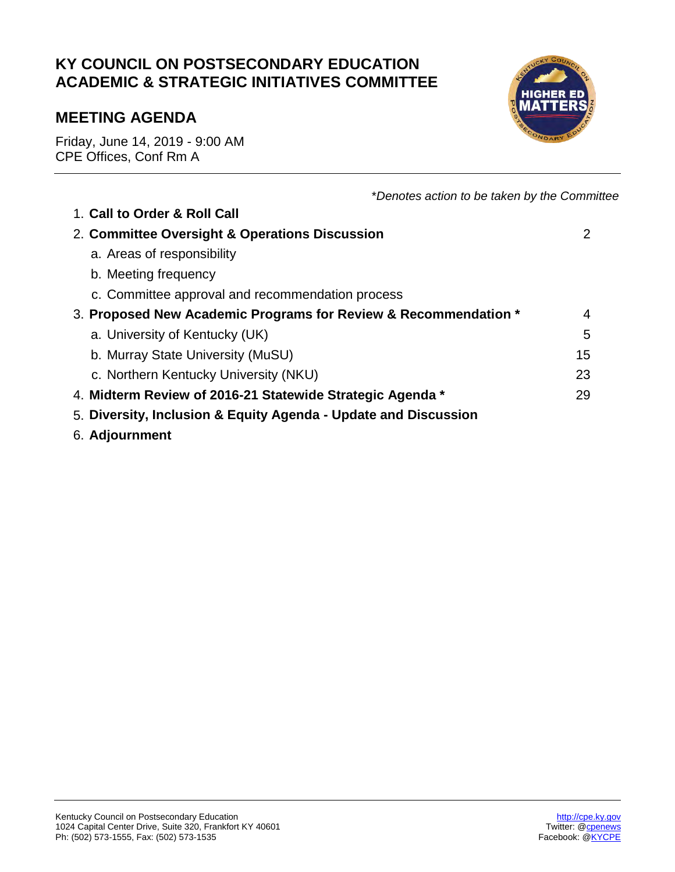# **KY COUNCIL ON POSTSECONDARY EDUCATION ACADEMIC & STRATEGIC INITIATIVES COMMITTEE**

# **MEETING AGENDA**

Friday, June 14, 2019 - 9:00 AM CPE Offices, Conf Rm A



| *Denotes action to be taken by the Committee                    |    |
|-----------------------------------------------------------------|----|
| 1. Call to Order & Roll Call                                    |    |
| 2. Committee Oversight & Operations Discussion                  | 2  |
| a. Areas of responsibility                                      |    |
| b. Meeting frequency                                            |    |
| c. Committee approval and recommendation process                |    |
| 3. Proposed New Academic Programs for Review & Recommendation * | 4  |
| a. University of Kentucky (UK)                                  | 5  |
| b. Murray State University (MuSU)                               | 15 |
| c. Northern Kentucky University (NKU)                           | 23 |
| 4. Midterm Review of 2016-21 Statewide Strategic Agenda *       | 29 |
| 5. Diversity, Inclusion & Equity Agenda - Update and Discussion |    |
|                                                                 |    |

6. **Adjournment**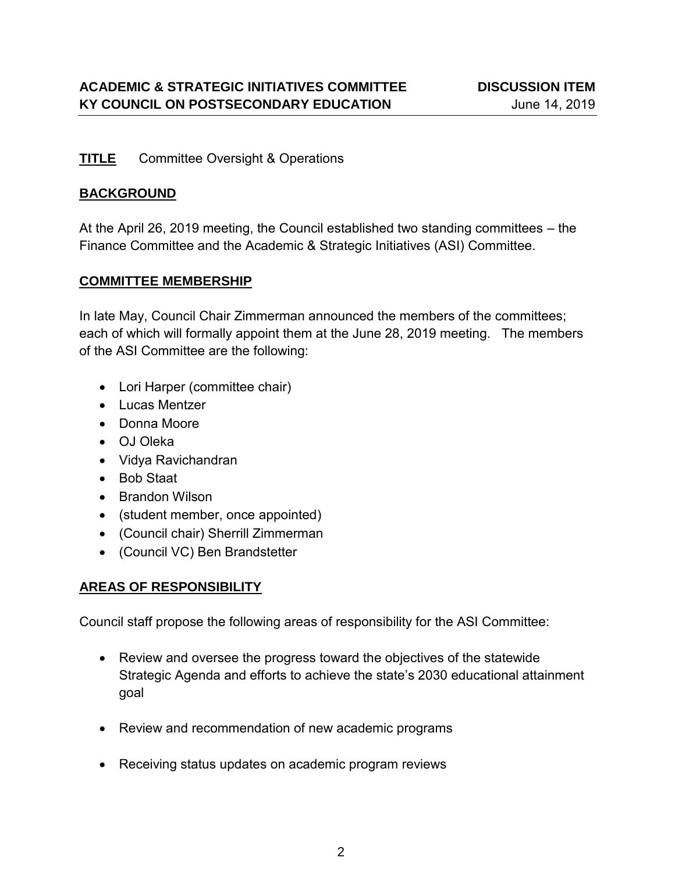## **TITLE** Committee Oversight & Operations

## **BACKGROUND**

At the April 26, 2019 meeting, the Council established two standing committees – the Finance Committee and the Academic & Strategic Initiatives (ASI) Committee.

# **COMMITTEE MEMBERSHIP**

In late May, Council Chair Zimmerman announced the members of the committees; each of which will formally appoint them at the June 28, 2019 meeting. The members of the ASI Committee are the following:

- Lori Harper (committee chair)
- Lucas Mentzer
- Donna Moore
- OJ Oleka
- Vidya Ravichandran
- Bob Staat
- Brandon Wilson
- (student member, once appointed)
- (Council chair) Sherrill Zimmerman
- (Council VC) Ben Brandstetter

# **AREAS OF RESPONSIBILITY**

Council staff propose the following areas of responsibility for the ASI Committee:

- Review and oversee the progress toward the objectives of the statewide Strategic Agenda and efforts to achieve the state's 2030 educational attainment goal
- Review and recommendation of new academic programs
- Receiving status updates on academic program reviews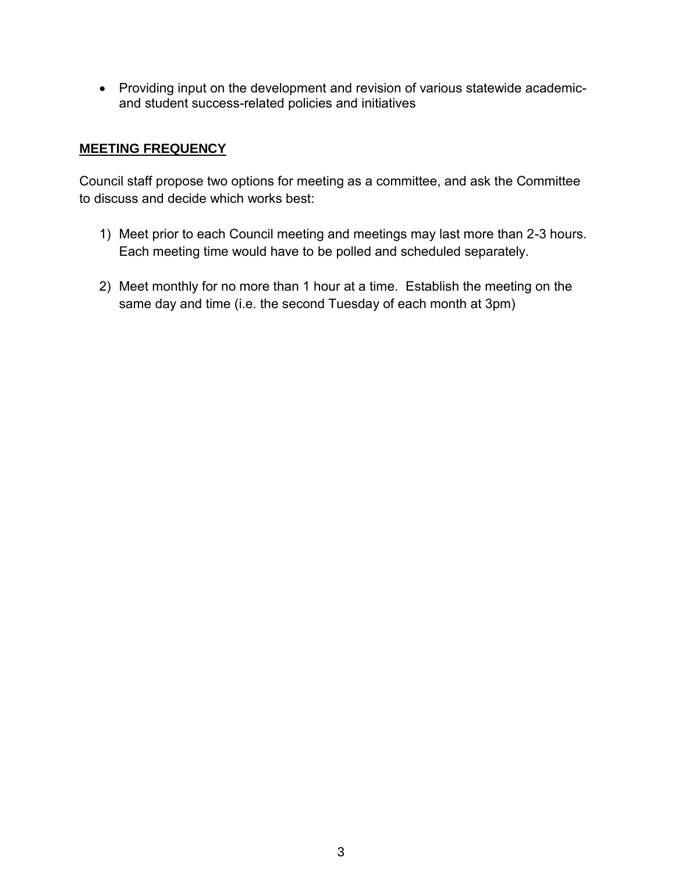Providing input on the development and revision of various statewide academicand student success-related policies and initiatives

#### **MEETING FREQUENCY**

Council staff propose two options for meeting as a committee, and ask the Committee to discuss and decide which works best:

- 1) Meet prior to each Council meeting and meetings may last more than 2-3 hours. Each meeting time would have to be polled and scheduled separately.
- 2) Meet monthly for no more than 1 hour at a time. Establish the meeting on the same day and time (i.e. the second Tuesday of each month at 3pm)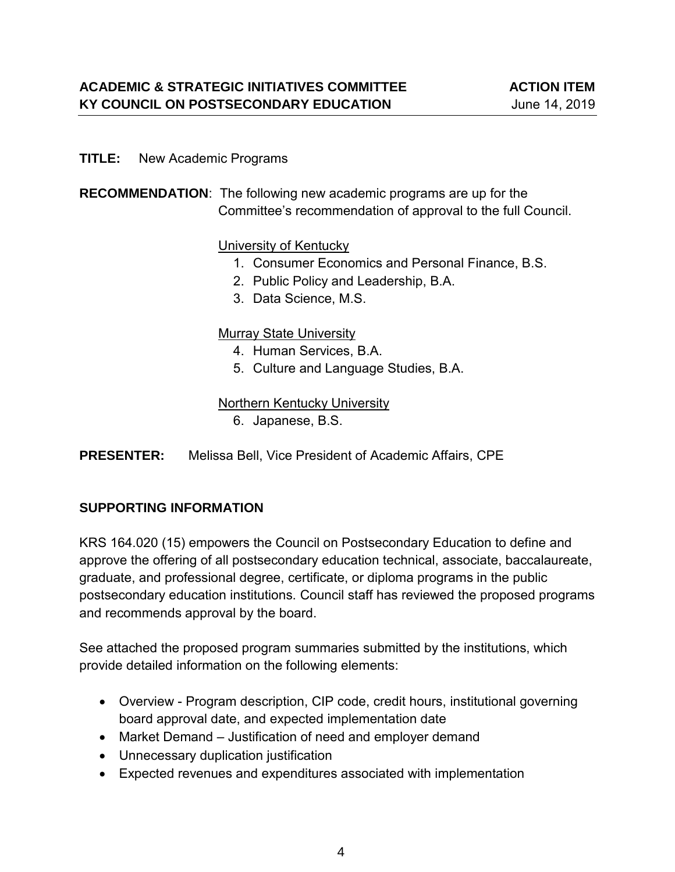#### **TITLE:** New Academic Programs

### **RECOMMENDATION**: The following new academic programs are up for the Committee's recommendation of approval to the full Council.

#### University of Kentucky

- 1. Consumer Economics and Personal Finance, B.S.
- 2. Public Policy and Leadership, B.A.
- 3. Data Science, M.S.

#### Murray State University

- 4. Human Services, B.A.
- 5. Culture and Language Studies, B.A.

#### Northern Kentucky University

- 6. Japanese, B.S.
- **PRESENTER:** Melissa Bell, Vice President of Academic Affairs, CPE

### **SUPPORTING INFORMATION**

KRS 164.020 (15) empowers the Council on Postsecondary Education to define and approve the offering of all postsecondary education technical, associate, baccalaureate, graduate, and professional degree, certificate, or diploma programs in the public postsecondary education institutions. Council staff has reviewed the proposed programs and recommends approval by the board.

See attached the proposed program summaries submitted by the institutions, which provide detailed information on the following elements:

- Overview Program description, CIP code, credit hours, institutional governing board approval date, and expected implementation date
- Market Demand Justification of need and employer demand
- Unnecessary duplication justification
- Expected revenues and expenditures associated with implementation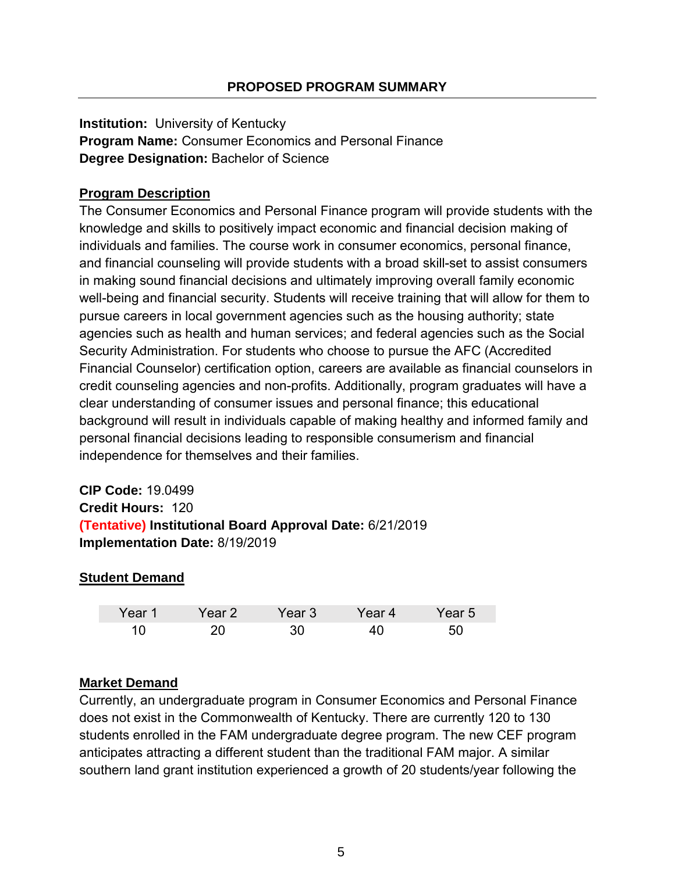**Institution:** University of Kentucky **Program Name:** Consumer Economics and Personal Finance **Degree Designation:** Bachelor of Science

# **Program Description**

The Consumer Economics and Personal Finance program will provide students with the knowledge and skills to positively impact economic and financial decision making of individuals and families. The course work in consumer economics, personal finance, and financial counseling will provide students with a broad skill-set to assist consumers in making sound financial decisions and ultimately improving overall family economic well-being and financial security. Students will receive training that will allow for them to pursue careers in local government agencies such as the housing authority; state agencies such as health and human services; and federal agencies such as the Social Security Administration. For students who choose to pursue the AFC (Accredited Financial Counselor) certification option, careers are available as financial counselors in credit counseling agencies and non-profits. Additionally, program graduates will have a clear understanding of consumer issues and personal finance; this educational background will result in individuals capable of making healthy and informed family and personal financial decisions leading to responsible consumerism and financial independence for themselves and their families.

**CIP Code:** 19.0499 **Credit Hours:** 120 **(Tentative) Institutional Board Approval Date:** 6/21/2019 **Implementation Date:** 8/19/2019

# **Student Demand**

| Year 1 | Year 2 | Year 3 | Year 4 | Year 5 |
|--------|--------|--------|--------|--------|
|        |        |        |        |        |

### **Market Demand**

Currently, an undergraduate program in Consumer Economics and Personal Finance does not exist in the Commonwealth of Kentucky. There are currently 120 to 130 students enrolled in the FAM undergraduate degree program. The new CEF program anticipates attracting a different student than the traditional FAM major. A similar southern land grant institution experienced a growth of 20 students/year following the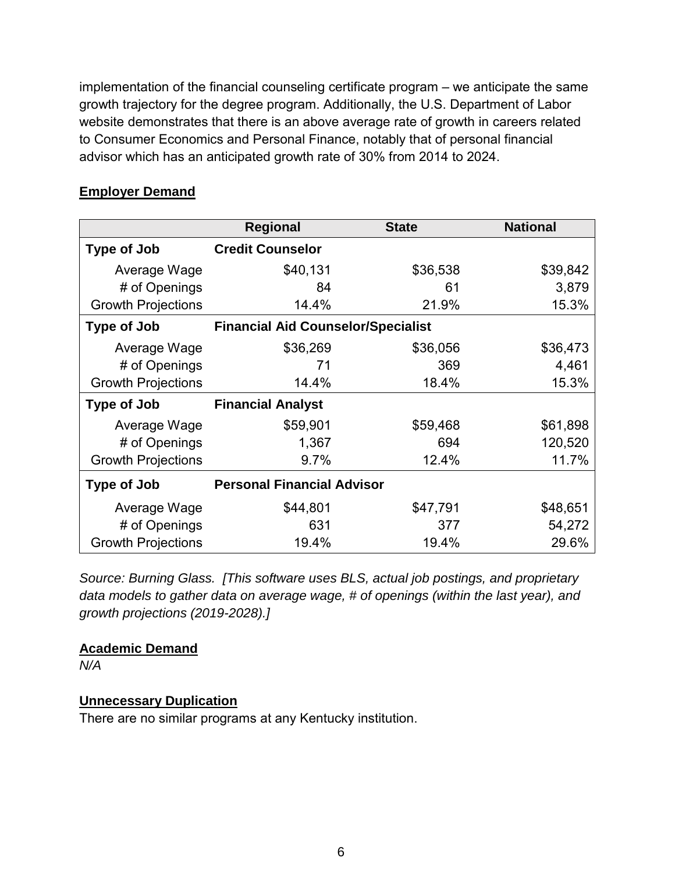implementation of the financial counseling certificate program – we anticipate the same growth trajectory for the degree program. Additionally, the U.S. Department of Labor website demonstrates that there is an above average rate of growth in careers related to Consumer Economics and Personal Finance, notably that of personal financial advisor which has an anticipated growth rate of 30% from 2014 to 2024.

|                           | <b>Regional</b>                           | <b>State</b> | <b>National</b> |
|---------------------------|-------------------------------------------|--------------|-----------------|
| <b>Type of Job</b>        | <b>Credit Counselor</b>                   |              |                 |
| Average Wage              | \$40,131                                  | \$36,538     | \$39,842        |
| # of Openings             | 84                                        | 61           | 3,879           |
| <b>Growth Projections</b> | 14.4%                                     | 21.9%        | 15.3%           |
| <b>Type of Job</b>        | <b>Financial Aid Counselor/Specialist</b> |              |                 |
| Average Wage              | \$36,269                                  | \$36,056     | \$36,473        |
| # of Openings             | 71                                        | 369          | 4,461           |
| <b>Growth Projections</b> | 14.4%                                     | 18.4%        | 15.3%           |
| Type of Job               | <b>Financial Analyst</b>                  |              |                 |
| Average Wage              | \$59,901                                  | \$59,468     | \$61,898        |
| # of Openings             | 1,367                                     | 694          | 120,520         |
| <b>Growth Projections</b> | 9.7%                                      | 12.4%        | 11.7%           |
| <b>Type of Job</b>        | <b>Personal Financial Advisor</b>         |              |                 |
| Average Wage              | \$44,801                                  | \$47,791     | \$48,651        |
| # of Openings             | 631                                       | 377          | 54,272          |
| <b>Growth Projections</b> | 19.4%                                     | 19.4%        | 29.6%           |

#### **Employer Demand**

*Source: Burning Glass. [This software uses BLS, actual job postings, and proprietary data models to gather data on average wage, # of openings (within the last year), and growth projections (2019-2028).]* 

#### **Academic Demand**

*N/A*

### **Unnecessary Duplication**

There are no similar programs at any Kentucky institution.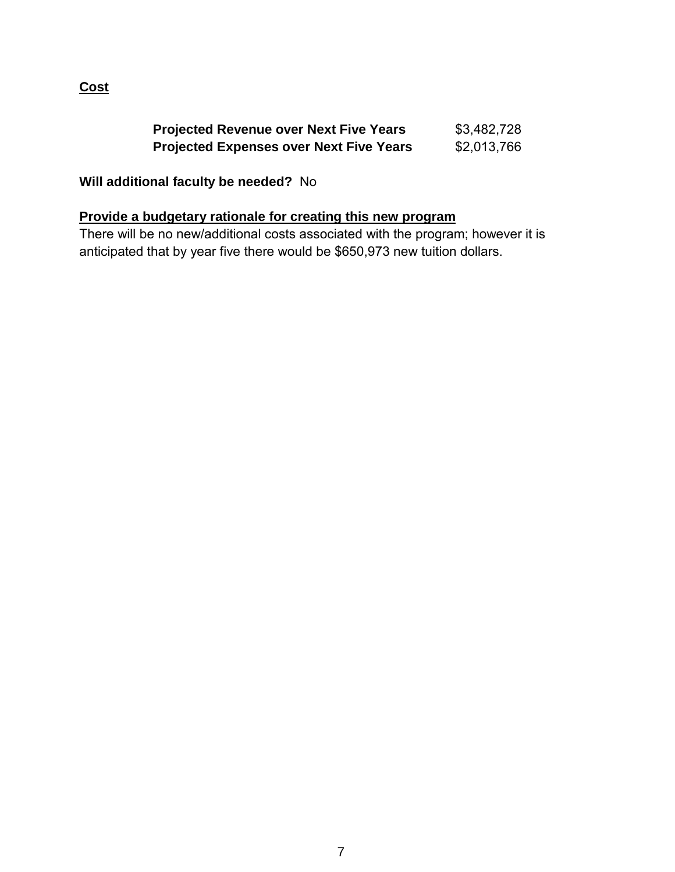# **Cost**

| <b>Projected Revenue over Next Five Years</b>  | \$3,482,728 |
|------------------------------------------------|-------------|
| <b>Projected Expenses over Next Five Years</b> | \$2,013,766 |

# **Will additional faculty be needed?** No

## **Provide a budgetary rationale for creating this new program**

There will be no new/additional costs associated with the program; however it is anticipated that by year five there would be \$650,973 new tuition dollars.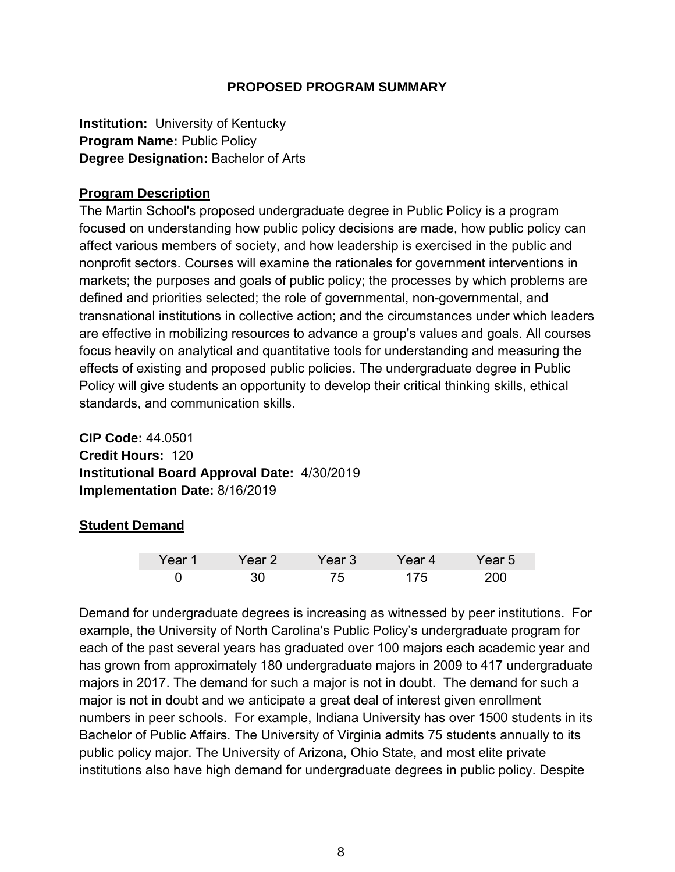**Institution:** University of Kentucky **Program Name:** Public Policy **Degree Designation:** Bachelor of Arts

# **Program Description**

The Martin School's proposed undergraduate degree in Public Policy is a program focused on understanding how public policy decisions are made, how public policy can affect various members of society, and how leadership is exercised in the public and nonprofit sectors. Courses will examine the rationales for government interventions in markets; the purposes and goals of public policy; the processes by which problems are defined and priorities selected; the role of governmental, non-governmental, and transnational institutions in collective action; and the circumstances under which leaders are effective in mobilizing resources to advance a group's values and goals. All courses focus heavily on analytical and quantitative tools for understanding and measuring the effects of existing and proposed public policies. The undergraduate degree in Public Policy will give students an opportunity to develop their critical thinking skills, ethical standards, and communication skills.

**CIP Code:** 44.0501 **Credit Hours:** 120 **Institutional Board Approval Date:** 4/30/2019 **Implementation Date:** 8/16/2019

# **Student Demand**

| Year 1 | Year 2 | Year 3' | Year 4 | rear 5 |
|--------|--------|---------|--------|--------|
|        |        | ᅎ       | 75     |        |

Demand for undergraduate degrees is increasing as witnessed by peer institutions. For example, the University of North Carolina's Public Policy's undergraduate program for each of the past several years has graduated over 100 majors each academic year and has grown from approximately 180 undergraduate majors in 2009 to 417 undergraduate majors in 2017. The demand for such a major is not in doubt. The demand for such a major is not in doubt and we anticipate a great deal of interest given enrollment numbers in peer schools. For example, Indiana University has over 1500 students in its Bachelor of Public Affairs. The University of Virginia admits 75 students annually to its public policy major. The University of Arizona, Ohio State, and most elite private institutions also have high demand for undergraduate degrees in public policy. Despite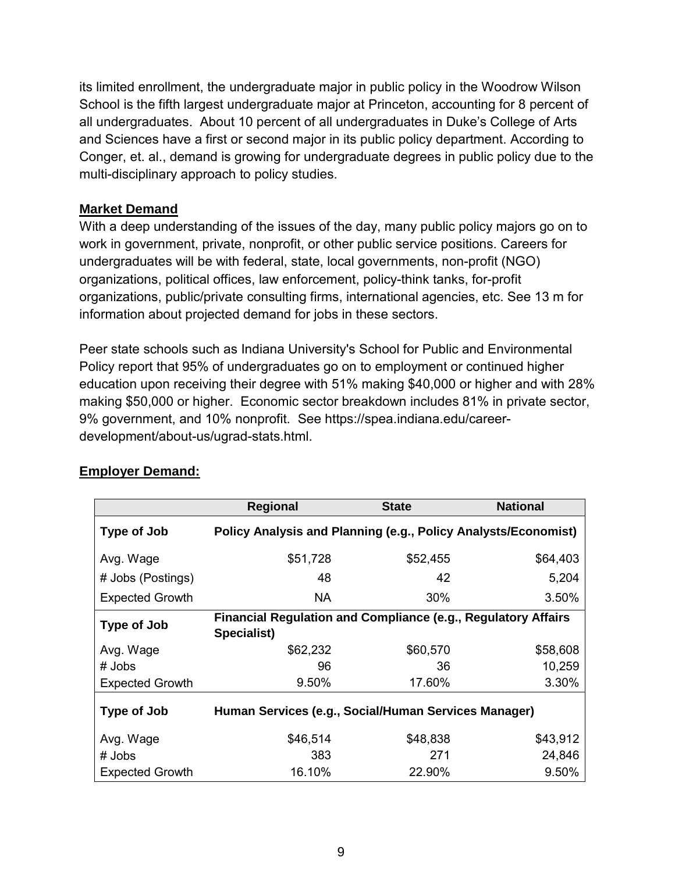its limited enrollment, the undergraduate major in public policy in the Woodrow Wilson School is the fifth largest undergraduate major at Princeton, accounting for 8 percent of all undergraduates. About 10 percent of all undergraduates in Duke's College of Arts and Sciences have a first or second major in its public policy department. According to Conger, et. al., demand is growing for undergraduate degrees in public policy due to the multi-disciplinary approach to policy studies.

### **Market Demand**

With a deep understanding of the issues of the day, many public policy majors go on to work in government, private, nonprofit, or other public service positions. Careers for undergraduates will be with federal, state, local governments, non-profit (NGO) organizations, political offices, law enforcement, policy-think tanks, for-profit organizations, public/private consulting firms, international agencies, etc. See 13 m for information about projected demand for jobs in these sectors.

Peer state schools such as Indiana University's School for Public and Environmental Policy report that 95% of undergraduates go on to employment or continued higher education upon receiving their degree with 51% making \$40,000 or higher and with 28% making \$50,000 or higher. Economic sector breakdown includes 81% in private sector, 9% government, and 10% nonprofit. See https://spea.indiana.edu/careerdevelopment/about-us/ugrad-stats.html.

|                        | <b>Regional</b>                                                                     | <b>State</b> | <b>National</b> |
|------------------------|-------------------------------------------------------------------------------------|--------------|-----------------|
| Type of Job            | Policy Analysis and Planning (e.g., Policy Analysts/Economist)                      |              |                 |
| Avg. Wage              | \$51,728                                                                            | \$52,455     | \$64,403        |
| # Jobs (Postings)      | 48                                                                                  | 42           | 5,204           |
| <b>Expected Growth</b> | <b>NA</b>                                                                           | 30%          | 3.50%           |
| Type of Job            | <b>Financial Regulation and Compliance (e.g., Regulatory Affairs</b><br>Specialist) |              |                 |
| Avg. Wage              | \$62,232                                                                            | \$60,570     | \$58,608        |
| # Jobs                 | 96                                                                                  | 36           | 10,259          |
| <b>Expected Growth</b> | 9.50%                                                                               | 17.60%       | 3.30%           |
| Type of Job            | Human Services (e.g., Social/Human Services Manager)                                |              |                 |
| Avg. Wage              | \$46,514                                                                            | \$48,838     | \$43,912        |
| # Jobs                 | 383                                                                                 | 271          | 24,846          |
| <b>Expected Growth</b> | 16.10%                                                                              | 22.90%       | 9.50%           |

# **Employer Demand:**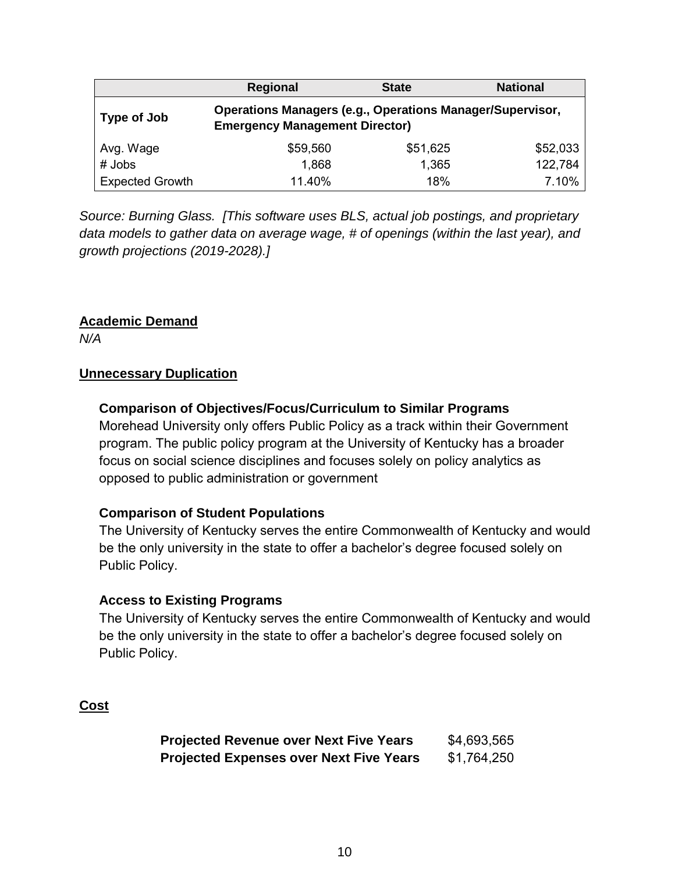|                        | <b>Regional</b>                                                                                           | <b>State</b> | <b>National</b> |
|------------------------|-----------------------------------------------------------------------------------------------------------|--------------|-----------------|
| Type of Job            | <b>Operations Managers (e.g., Operations Manager/Supervisor,</b><br><b>Emergency Management Director)</b> |              |                 |
| Avg. Wage              | \$59,560                                                                                                  | \$51,625     | \$52,033        |
| $#$ Jobs               | 1,868                                                                                                     | 1,365        | 122,784         |
| <b>Expected Growth</b> | 11.40%                                                                                                    | 18%          | 7.10%           |

*Source: Burning Glass. [This software uses BLS, actual job postings, and proprietary data models to gather data on average wage, # of openings (within the last year), and growth projections (2019-2028).]* 

### **Academic Demand**

*N/A*

#### **Unnecessary Duplication**

### **Comparison of Objectives/Focus/Curriculum to Similar Programs**

Morehead University only offers Public Policy as a track within their Government program. The public policy program at the University of Kentucky has a broader focus on social science disciplines and focuses solely on policy analytics as opposed to public administration or government

#### **Comparison of Student Populations**

The University of Kentucky serves the entire Commonwealth of Kentucky and would be the only university in the state to offer a bachelor's degree focused solely on Public Policy.

#### **Access to Existing Programs**

The University of Kentucky serves the entire Commonwealth of Kentucky and would be the only university in the state to offer a bachelor's degree focused solely on Public Policy.

### **Cost**

**Projected Revenue over Next Five Years \$4,693,565 Projected Expenses over Next Five Years** \$1,764,250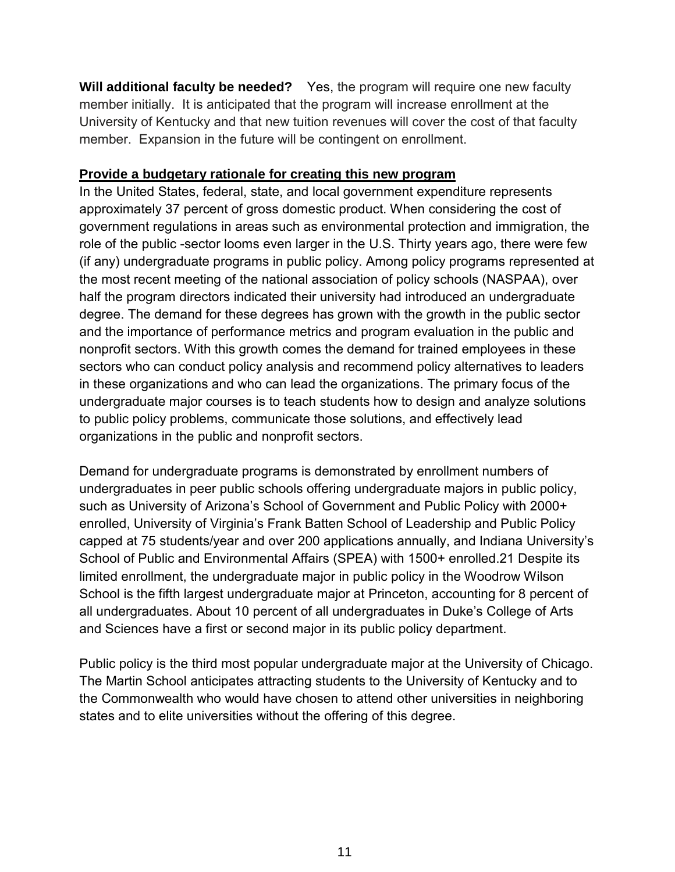**Will additional faculty be needed?** Yes, the program will require one new faculty member initially. It is anticipated that the program will increase enrollment at the University of Kentucky and that new tuition revenues will cover the cost of that faculty member. Expansion in the future will be contingent on enrollment.

#### **Provide a budgetary rationale for creating this new program**

In the United States, federal, state, and local government expenditure represents approximately 37 percent of gross domestic product. When considering the cost of government regulations in areas such as environmental protection and immigration, the role of the public -sector looms even larger in the U.S. Thirty years ago, there were few (if any) undergraduate programs in public policy. Among policy programs represented at the most recent meeting of the national association of policy schools (NASPAA), over half the program directors indicated their university had introduced an undergraduate degree. The demand for these degrees has grown with the growth in the public sector and the importance of performance metrics and program evaluation in the public and nonprofit sectors. With this growth comes the demand for trained employees in these sectors who can conduct policy analysis and recommend policy alternatives to leaders in these organizations and who can lead the organizations. The primary focus of the undergraduate major courses is to teach students how to design and analyze solutions to public policy problems, communicate those solutions, and effectively lead organizations in the public and nonprofit sectors.

Demand for undergraduate programs is demonstrated by enrollment numbers of undergraduates in peer public schools offering undergraduate majors in public policy, such as University of Arizona's School of Government and Public Policy with 2000+ enrolled, University of Virginia's Frank Batten School of Leadership and Public Policy capped at 75 students/year and over 200 applications annually, and Indiana University's School of Public and Environmental Affairs (SPEA) with 1500+ enrolled.21 Despite its limited enrollment, the undergraduate major in public policy in the Woodrow Wilson School is the fifth largest undergraduate major at Princeton, accounting for 8 percent of all undergraduates. About 10 percent of all undergraduates in Duke's College of Arts and Sciences have a first or second major in its public policy department.

Public policy is the third most popular undergraduate major at the University of Chicago. The Martin School anticipates attracting students to the University of Kentucky and to the Commonwealth who would have chosen to attend other universities in neighboring states and to elite universities without the offering of this degree.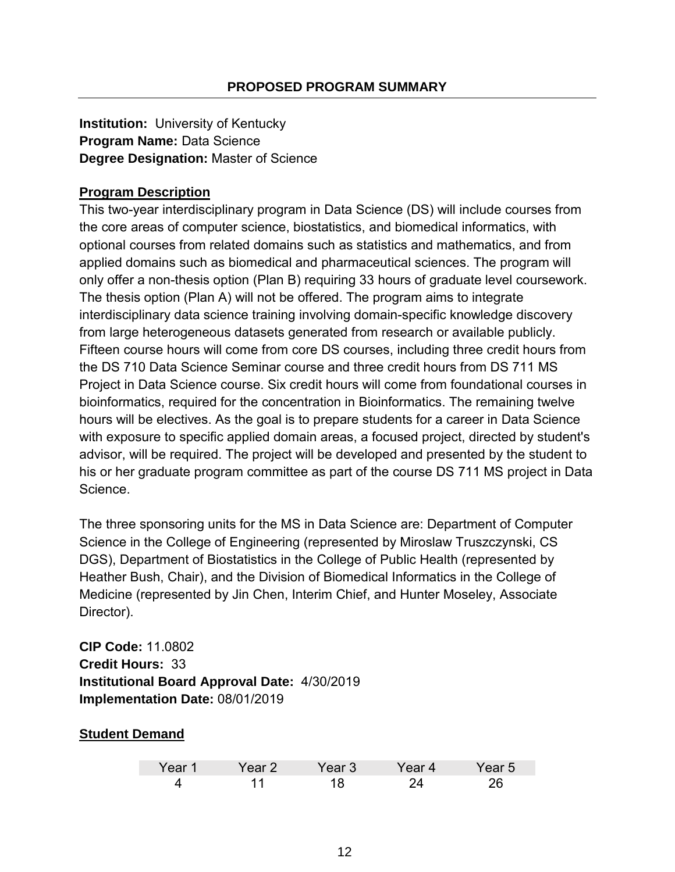**Institution:** University of Kentucky **Program Name:** Data Science **Degree Designation:** Master of Science

# **Program Description**

This two-year interdisciplinary program in Data Science (DS) will include courses from the core areas of computer science, biostatistics, and biomedical informatics, with optional courses from related domains such as statistics and mathematics, and from applied domains such as biomedical and pharmaceutical sciences. The program will only offer a non-thesis option (Plan B) requiring 33 hours of graduate level coursework. The thesis option (Plan A) will not be offered. The program aims to integrate interdisciplinary data science training involving domain-specific knowledge discovery from large heterogeneous datasets generated from research or available publicly. Fifteen course hours will come from core DS courses, including three credit hours from the DS 710 Data Science Seminar course and three credit hours from DS 711 MS Project in Data Science course. Six credit hours will come from foundational courses in bioinformatics, required for the concentration in Bioinformatics. The remaining twelve hours will be electives. As the goal is to prepare students for a career in Data Science with exposure to specific applied domain areas, a focused project, directed by student's advisor, will be required. The project will be developed and presented by the student to his or her graduate program committee as part of the course DS 711 MS project in Data Science.

The three sponsoring units for the MS in Data Science are: Department of Computer Science in the College of Engineering (represented by Miroslaw Truszczynski, CS DGS), Department of Biostatistics in the College of Public Health (represented by Heather Bush, Chair), and the Division of Biomedical Informatics in the College of Medicine (represented by Jin Chen, Interim Chief, and Hunter Moseley, Associate Director).

**CIP Code:** 11.0802 **Credit Hours:** 33 **Institutional Board Approval Date:** 4/30/2019 **Implementation Date:** 08/01/2019

### **Student Demand**

| Year 1 | ′ear 2⊥ | Year 3 \ | 'ear 4 | rear 5 |
|--------|---------|----------|--------|--------|
|        |         |          |        |        |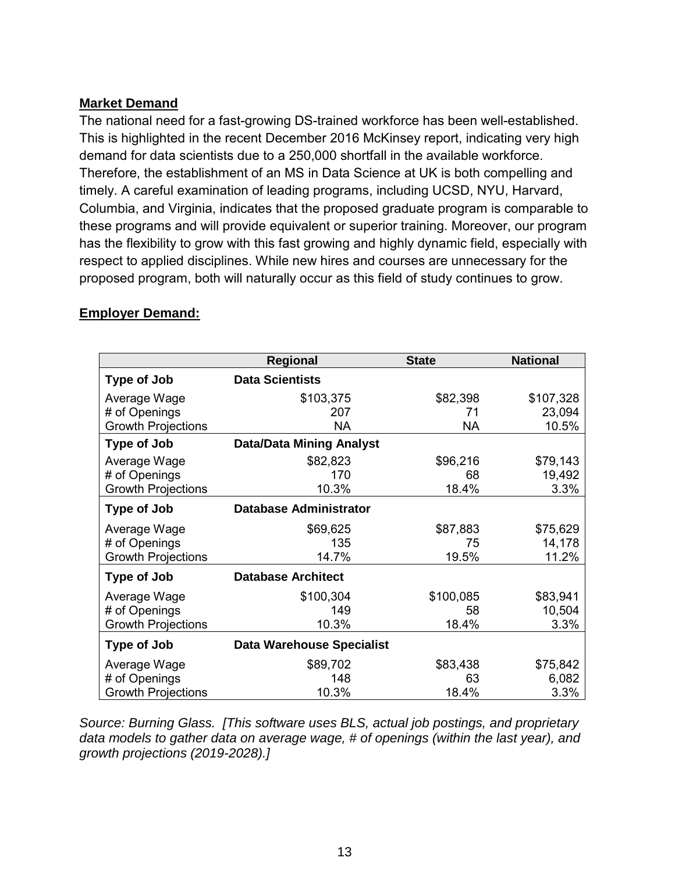### **Market Demand**

The national need for a fast-growing DS-trained workforce has been well-established. This is highlighted in the recent December 2016 McKinsey report, indicating very high demand for data scientists due to a 250,000 shortfall in the available workforce. Therefore, the establishment of an MS in Data Science at UK is both compelling and timely. A careful examination of leading programs, including UCSD, NYU, Harvard, Columbia, and Virginia, indicates that the proposed graduate program is comparable to these programs and will provide equivalent or superior training. Moreover, our program has the flexibility to grow with this fast growing and highly dynamic field, especially with respect to applied disciplines. While new hires and courses are unnecessary for the proposed program, both will naturally occur as this field of study continues to grow.

|                           | Regional                         | <b>State</b> | <b>National</b> |
|---------------------------|----------------------------------|--------------|-----------------|
| Type of Job               | <b>Data Scientists</b>           |              |                 |
| Average Wage              | \$103,375                        | \$82,398     | \$107,328       |
| # of Openings             | 207                              | 71           | 23,094          |
| <b>Growth Projections</b> | <b>NA</b>                        | <b>NA</b>    | 10.5%           |
| <b>Type of Job</b>        | <b>Data/Data Mining Analyst</b>  |              |                 |
| Average Wage              | \$82,823                         | \$96,216     | \$79,143        |
| # of Openings             | 170                              | 68           | 19,492          |
| <b>Growth Projections</b> | 10.3%                            | 18.4%        | 3.3%            |
| <b>Type of Job</b>        | <b>Database Administrator</b>    |              |                 |
| Average Wage              | \$69,625                         | \$87,883     | \$75,629        |
| # of Openings             | 135                              | 75           | 14,178          |
| <b>Growth Projections</b> | 14.7%                            | 19.5%        | 11.2%           |
| Type of Job               | <b>Database Architect</b>        |              |                 |
| Average Wage              | \$100,304                        | \$100,085    | \$83,941        |
| # of Openings             | 149                              | 58           | 10,504          |
| <b>Growth Projections</b> | 10.3%                            | 18.4%        | 3.3%            |
| <b>Type of Job</b>        | <b>Data Warehouse Specialist</b> |              |                 |
| Average Wage              | \$89,702                         | \$83,438     | \$75,842        |
| # of Openings             | 148                              | 63           | 6,082           |
| <b>Growth Projections</b> | 10.3%                            | 18.4%        | 3.3%            |

# **Employer Demand:**

*Source: Burning Glass. [This software uses BLS, actual job postings, and proprietary data models to gather data on average wage, # of openings (within the last year), and growth projections (2019-2028).]*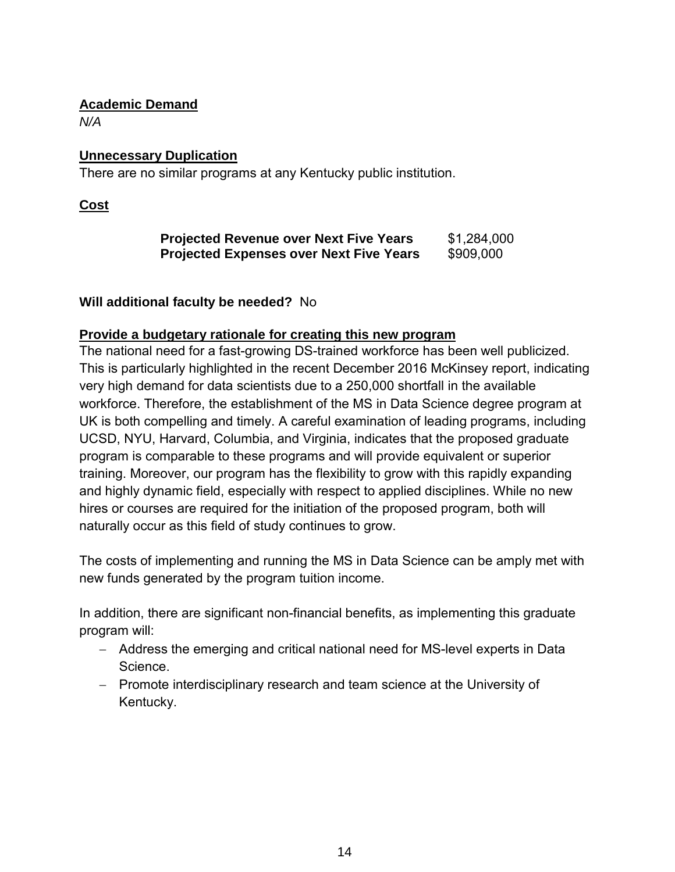## **Academic Demand**

*N/A*

# **Unnecessary Duplication**

There are no similar programs at any Kentucky public institution.

**Cost**

| <b>Projected Revenue over Next Five Years</b>  | \$1,284,000 |
|------------------------------------------------|-------------|
| <b>Projected Expenses over Next Five Years</b> | \$909,000   |

# **Will additional faculty be needed?** No

# **Provide a budgetary rationale for creating this new program**

The national need for a fast-growing DS-trained workforce has been well publicized. This is particularly highlighted in the recent December 2016 McKinsey report, indicating very high demand for data scientists due to a 250,000 shortfall in the available workforce. Therefore, the establishment of the MS in Data Science degree program at UK is both compelling and timely. A careful examination of leading programs, including UCSD, NYU, Harvard, Columbia, and Virginia, indicates that the proposed graduate program is comparable to these programs and will provide equivalent or superior training. Moreover, our program has the flexibility to grow with this rapidly expanding and highly dynamic field, especially with respect to applied disciplines. While no new hires or courses are required for the initiation of the proposed program, both will naturally occur as this field of study continues to grow.

The costs of implementing and running the MS in Data Science can be amply met with new funds generated by the program tuition income.

In addition, there are significant non-financial benefits, as implementing this graduate program will:

- − Address the emerging and critical national need for MS-level experts in Data Science.
- − Promote interdisciplinary research and team science at the University of Kentucky.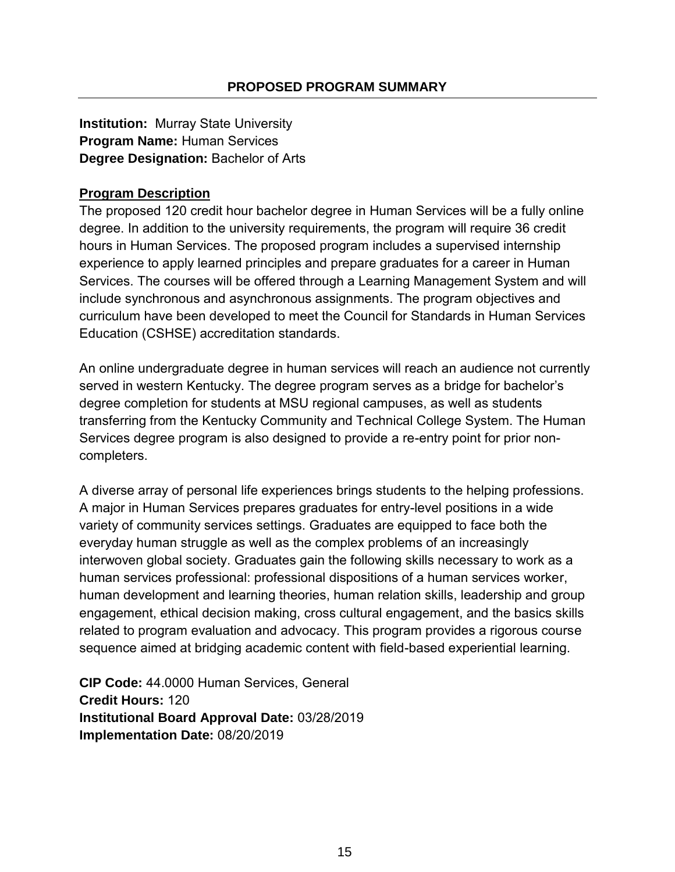**Institution:** Murray State University **Program Name:** Human Services **Degree Designation:** Bachelor of Arts

## **Program Description**

The proposed 120 credit hour bachelor degree in Human Services will be a fully online degree. In addition to the university requirements, the program will require 36 credit hours in Human Services. The proposed program includes a supervised internship experience to apply learned principles and prepare graduates for a career in Human Services. The courses will be offered through a Learning Management System and will include synchronous and asynchronous assignments. The program objectives and curriculum have been developed to meet the Council for Standards in Human Services Education (CSHSE) accreditation standards.

An online undergraduate degree in human services will reach an audience not currently served in western Kentucky. The degree program serves as a bridge for bachelor's degree completion for students at MSU regional campuses, as well as students transferring from the Kentucky Community and Technical College System. The Human Services degree program is also designed to provide a re-entry point for prior noncompleters.

A diverse array of personal life experiences brings students to the helping professions. A major in Human Services prepares graduates for entry-level positions in a wide variety of community services settings. Graduates are equipped to face both the everyday human struggle as well as the complex problems of an increasingly interwoven global society. Graduates gain the following skills necessary to work as a human services professional: professional dispositions of a human services worker, human development and learning theories, human relation skills, leadership and group engagement, ethical decision making, cross cultural engagement, and the basics skills related to program evaluation and advocacy. This program provides a rigorous course sequence aimed at bridging academic content with field-based experiential learning.

**CIP Code:** 44.0000 Human Services, General **Credit Hours:** 120 **Institutional Board Approval Date:** 03/28/2019 **Implementation Date:** 08/20/2019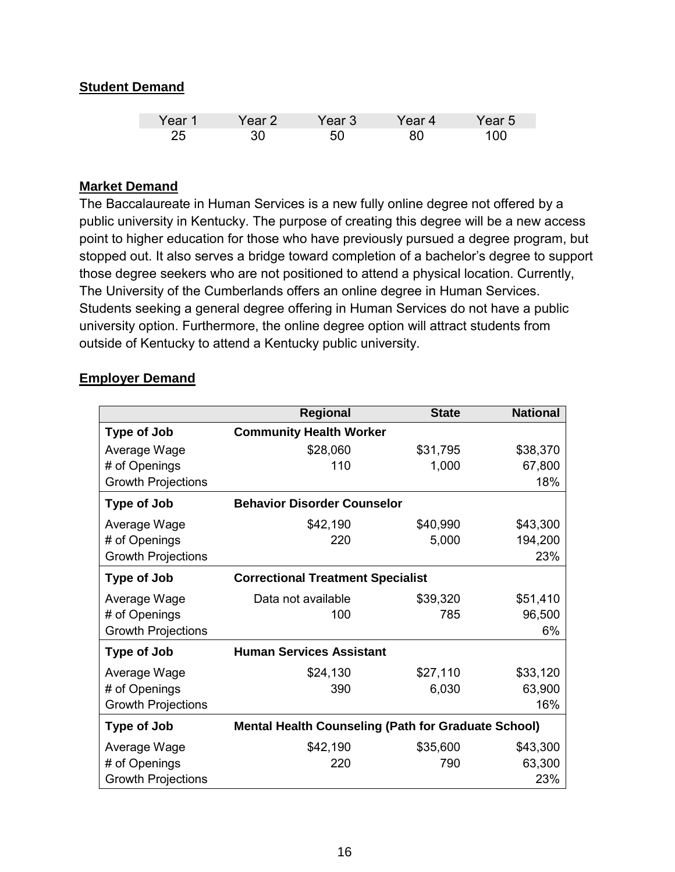## **Student Demand**

| Year 1 | 'ear 2 | ′ear 3 | Year 4 | Year 5 |
|--------|--------|--------|--------|--------|
| 25     |        |        | 80     | חחו    |

#### **Market Demand**

The Baccalaureate in Human Services is a new fully online degree not offered by a public university in Kentucky. The purpose of creating this degree will be a new access point to higher education for those who have previously pursued a degree program, but stopped out. It also serves a bridge toward completion of a bachelor's degree to support those degree seekers who are not positioned to attend a physical location. Currently, The University of the Cumberlands offers an online degree in Human Services. Students seeking a general degree offering in Human Services do not have a public university option. Furthermore, the online degree option will attract students from outside of Kentucky to attend a Kentucky public university.

#### **Employer Demand**

|                           | <b>Regional</b>                                            | <b>State</b> | <b>National</b> |
|---------------------------|------------------------------------------------------------|--------------|-----------------|
| <b>Type of Job</b>        | <b>Community Health Worker</b>                             |              |                 |
| Average Wage              | \$28,060                                                   | \$31,795     | \$38,370        |
| # of Openings             | 110                                                        | 1,000        | 67,800          |
| <b>Growth Projections</b> |                                                            |              | 18%             |
| <b>Type of Job</b>        | <b>Behavior Disorder Counselor</b>                         |              |                 |
| Average Wage              | \$42,190                                                   | \$40,990     | \$43,300        |
| # of Openings             | 220                                                        | 5,000        | 194,200         |
| <b>Growth Projections</b> |                                                            |              | 23%             |
| <b>Type of Job</b>        | <b>Correctional Treatment Specialist</b>                   |              |                 |
| Average Wage              | Data not available                                         | \$39,320     | \$51,410        |
| # of Openings             | 100                                                        | 785          | 96,500          |
| <b>Growth Projections</b> |                                                            |              | 6%              |
| <b>Type of Job</b>        | <b>Human Services Assistant</b>                            |              |                 |
| Average Wage              | \$24,130                                                   | \$27,110     | \$33,120        |
| # of Openings             | 390                                                        | 6,030        | 63,900          |
| <b>Growth Projections</b> |                                                            |              | 16%             |
| <b>Type of Job</b>        | <b>Mental Health Counseling (Path for Graduate School)</b> |              |                 |
| Average Wage              | \$42,190                                                   | \$35,600     | \$43,300        |
| # of Openings             | 220                                                        | 790          | 63,300          |
| <b>Growth Projections</b> |                                                            |              | 23%             |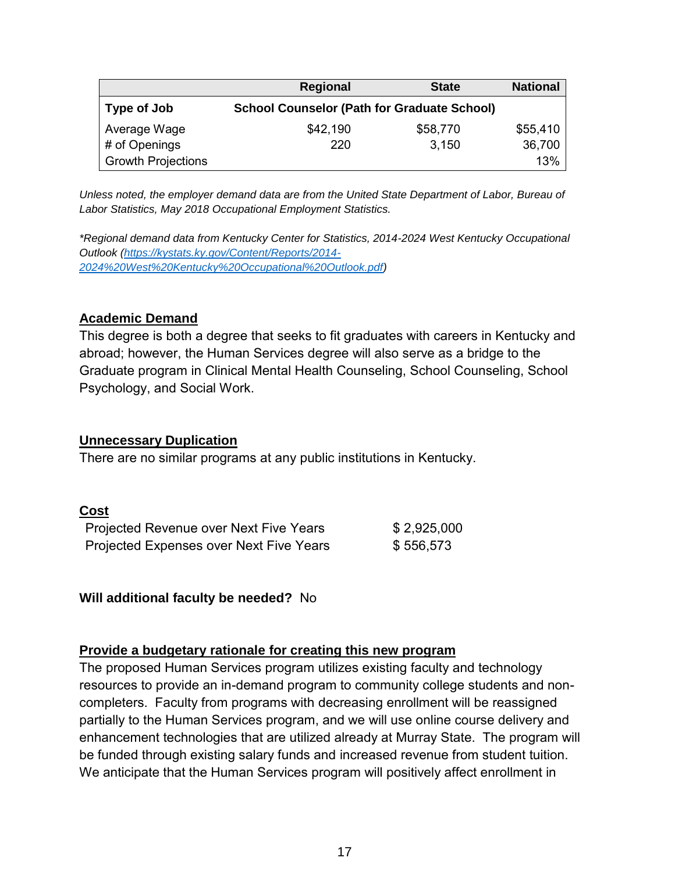|                           | <b>Regional</b>                                    | <b>State</b> | <b>National</b> |
|---------------------------|----------------------------------------------------|--------------|-----------------|
| Type of Job               | <b>School Counselor (Path for Graduate School)</b> |              |                 |
| Average Wage              | \$42,190                                           | \$58,770     | \$55,410        |
| # of Openings             | 220                                                | 3,150        | 36,700          |
| <b>Growth Projections</b> |                                                    |              | 13%             |

*Unless noted, the employer demand data are from the United State Department of Labor, Bureau of Labor Statistics, May 2018 Occupational Employment Statistics.*

*\*Regional demand data from Kentucky Center for Statistics, 2014-2024 West Kentucky Occupational Outlook [\(https://kystats.ky.gov/Content/Reports/2014-](https://kystats.ky.gov/Content/Reports/2014-2024%20West%20Kentucky%20Occupational%20Outlook.pdf) [2024%20West%20Kentucky%20Occupational%20Outlook.pdf\)](https://kystats.ky.gov/Content/Reports/2014-2024%20West%20Kentucky%20Occupational%20Outlook.pdf)*

#### **Academic Demand**

This degree is both a degree that seeks to fit graduates with careers in Kentucky and abroad; however, the Human Services degree will also serve as a bridge to the Graduate program in Clinical Mental Health Counseling, School Counseling, School Psychology, and Social Work.

#### **Unnecessary Duplication**

There are no similar programs at any public institutions in Kentucky.

#### **Cost**

| Projected Revenue over Next Five Years  | \$2,925,000 |
|-----------------------------------------|-------------|
| Projected Expenses over Next Five Years | \$556,573   |

**Will additional faculty be needed?** No

### **Provide a budgetary rationale for creating this new program**

The proposed Human Services program utilizes existing faculty and technology resources to provide an in-demand program to community college students and noncompleters. Faculty from programs with decreasing enrollment will be reassigned partially to the Human Services program, and we will use online course delivery and enhancement technologies that are utilized already at Murray State. The program will be funded through existing salary funds and increased revenue from student tuition. We anticipate that the Human Services program will positively affect enrollment in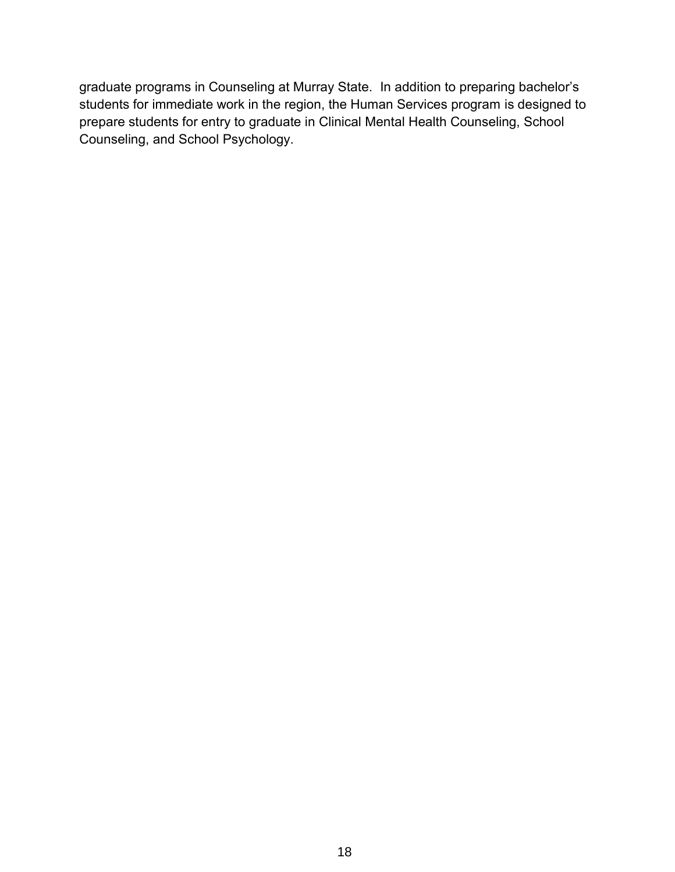graduate programs in Counseling at Murray State. In addition to preparing bachelor's students for immediate work in the region, the Human Services program is designed to prepare students for entry to graduate in Clinical Mental Health Counseling, School Counseling, and School Psychology.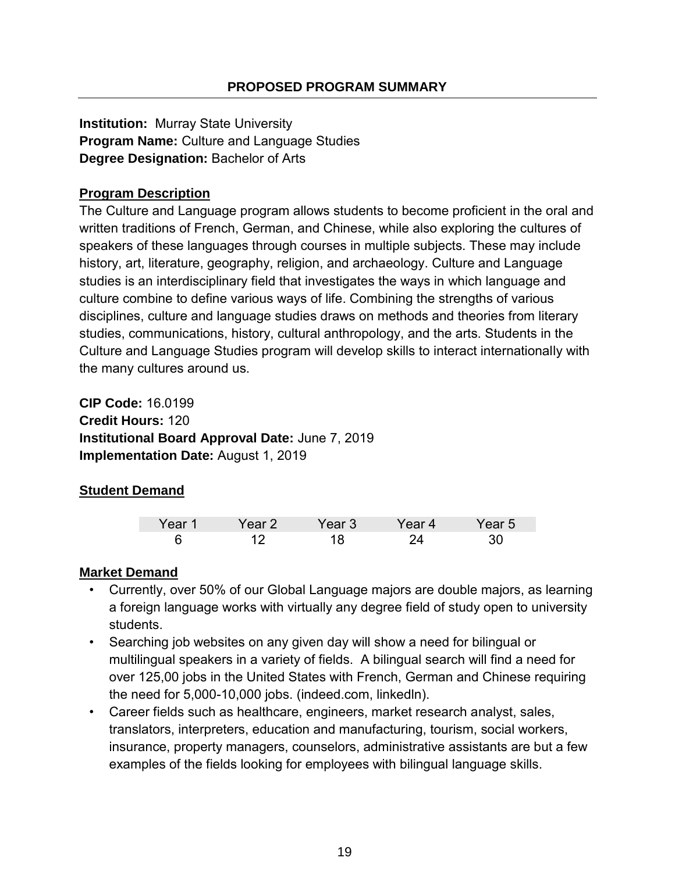**Institution:** Murray State University **Program Name:** Culture and Language Studies **Degree Designation:** Bachelor of Arts

# **Program Description**

The Culture and Language program allows students to become proficient in the oral and written traditions of French, German, and Chinese, while also exploring the cultures of speakers of these languages through courses in multiple subjects. These may include history, art, literature, geography, religion, and archaeology. Culture and Language studies is an interdisciplinary field that investigates the ways in which language and culture combine to define various ways of life. Combining the strengths of various disciplines, culture and language studies draws on methods and theories from literary studies, communications, history, cultural anthropology, and the arts. Students in the Culture and Language Studies program will develop skills to interact internationally with the many cultures around us.

**CIP Code:** 16.0199 **Credit Hours:** 120 **Institutional Board Approval Date:** June 7, 2019 **Implementation Date:** August 1, 2019

# **Student Demand**

| $\sqrt{22r}$ | $-$ | /aar'<br>IJ | <b>Contract Contract Contract Contract</b><br>- 4 | r 5 |
|--------------|-----|-------------|---------------------------------------------------|-----|
|              |     |             |                                                   |     |

### **Market Demand**

- Currently, over 50% of our Global Language majors are double majors, as learning a foreign language works with virtually any degree field of study open to university students.
- Searching job websites on any given day will show a need for bilingual or multilingual speakers in a variety of fields. A bilingual search will find a need for over 125,00 jobs in the United States with French, German and Chinese requiring the need for 5,000-10,000 jobs. (indeed.com, linkedln).
- Career fields such as healthcare, engineers, market research analyst, sales, translators, interpreters, education and manufacturing, tourism, social workers, insurance, property managers, counselors, administrative assistants are but a few examples of the fields looking for employees with bilingual language skills.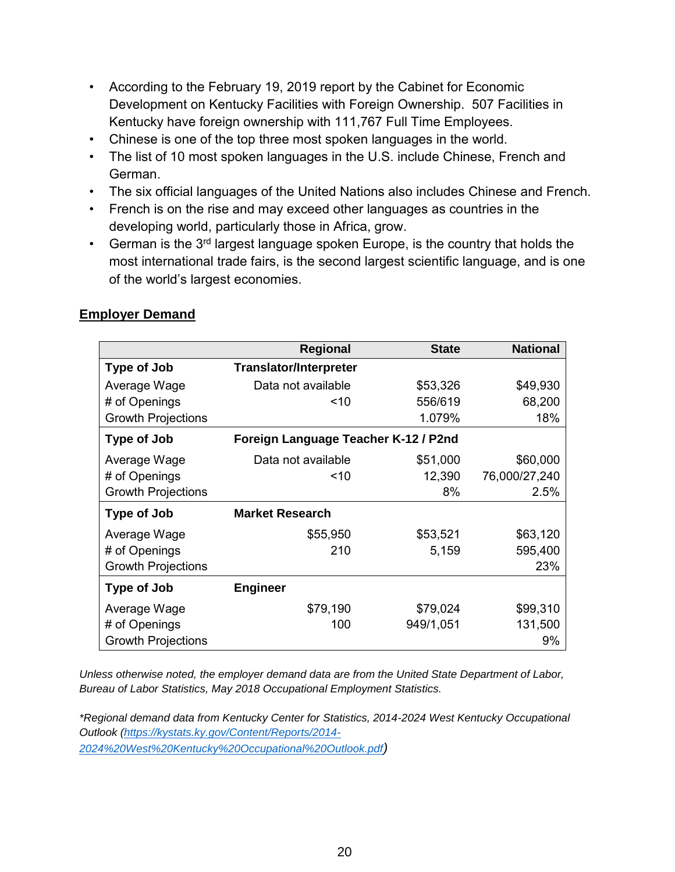- According to the February 19, 2019 report by the Cabinet for Economic Development on Kentucky Facilities with Foreign Ownership. 507 Facilities in Kentucky have foreign ownership with 111,767 Full Time Employees.
- Chinese is one of the top three most spoken languages in the world.
- The list of 10 most spoken languages in the U.S. include Chinese, French and German.
- The six official languages of the United Nations also includes Chinese and French.
- French is on the rise and may exceed other languages as countries in the developing world, particularly those in Africa, grow.
- German is the  $3<sup>rd</sup>$  largest language spoken Europe, is the country that holds the most international trade fairs, is the second largest scientific language, and is one of the world's largest economies.

|                           | <b>Regional</b>                      | <b>State</b> | <b>National</b> |
|---------------------------|--------------------------------------|--------------|-----------------|
| Type of Job               | <b>Translator/Interpreter</b>        |              |                 |
| Average Wage              | Data not available                   | \$53,326     | \$49,930        |
| # of Openings             | ~10                                  | 556/619      | 68,200          |
| <b>Growth Projections</b> |                                      | 1.079%       | 18%             |
| <b>Type of Job</b>        | Foreign Language Teacher K-12 / P2nd |              |                 |
| Average Wage              | Data not available                   | \$51,000     | \$60,000        |
| # of Openings             | ~10                                  | 12,390       | 76,000/27,240   |
| <b>Growth Projections</b> |                                      | 8%           | 2.5%            |
| <b>Type of Job</b>        | <b>Market Research</b>               |              |                 |
| Average Wage              | \$55,950                             | \$53,521     | \$63,120        |
| # of Openings             | 210                                  | 5,159        | 595,400         |
| <b>Growth Projections</b> |                                      |              | 23%             |
| Type of Job               | <b>Engineer</b>                      |              |                 |
| Average Wage              | \$79,190                             | \$79,024     | \$99,310        |
| # of Openings             | 100                                  | 949/1,051    | 131,500         |
| <b>Growth Projections</b> |                                      |              | 9%              |

#### **Employer Demand**

*Unless otherwise noted, the employer demand data are from the United State Department of Labor, Bureau of Labor Statistics, May 2018 Occupational Employment Statistics.*

*\*Regional demand data from Kentucky Center for Statistics, 2014-2024 West Kentucky Occupational Outlook [\(https://kystats.ky.gov/Content/Reports/2014-](https://kystats.ky.gov/Content/Reports/2014-2024%20West%20Kentucky%20Occupational%20Outlook.pdf) [2024%20West%20Kentucky%20Occupational%20Outlook.pdf](https://kystats.ky.gov/Content/Reports/2014-2024%20West%20Kentucky%20Occupational%20Outlook.pdf))*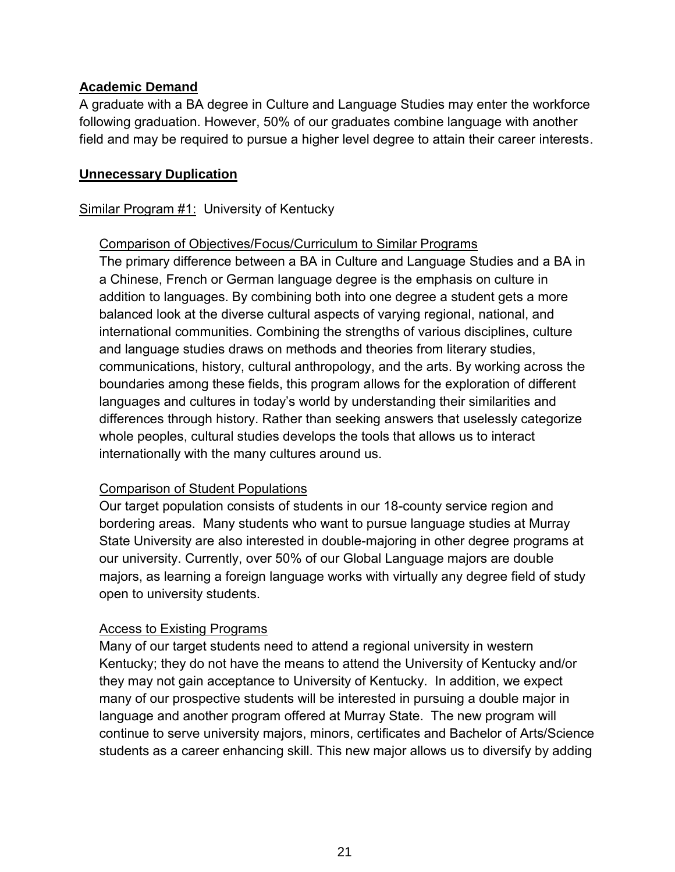### **Academic Demand**

A graduate with a BA degree in Culture and Language Studies may enter the workforce following graduation. However, 50% of our graduates combine language with another field and may be required to pursue a higher level degree to attain their career interests.

#### **Unnecessary Duplication**

#### Similar Program #1: University of Kentucky

#### Comparison of Objectives/Focus/Curriculum to Similar Programs

The primary difference between a BA in Culture and Language Studies and a BA in a Chinese, French or German language degree is the emphasis on culture in addition to languages. By combining both into one degree a student gets a more balanced look at the diverse cultural aspects of varying regional, national, and international communities. Combining the strengths of various disciplines, culture and language studies draws on methods and theories from literary studies, communications, history, cultural anthropology, and the arts. By working across the boundaries among these fields, this program allows for the exploration of different languages and cultures in today's world by understanding their similarities and differences through history. Rather than seeking answers that uselessly categorize whole peoples, cultural studies develops the tools that allows us to interact internationally with the many cultures around us.

### Comparison of Student Populations

Our target population consists of students in our 18-county service region and bordering areas. Many students who want to pursue language studies at Murray State University are also interested in double-majoring in other degree programs at our university. Currently, over 50% of our Global Language majors are double majors, as learning a foreign language works with virtually any degree field of study open to university students.

#### Access to Existing Programs

Many of our target students need to attend a regional university in western Kentucky; they do not have the means to attend the University of Kentucky and/or they may not gain acceptance to University of Kentucky. In addition, we expect many of our prospective students will be interested in pursuing a double major in language and another program offered at Murray State. The new program will continue to serve university majors, minors, certificates and Bachelor of Arts/Science students as a career enhancing skill. This new major allows us to diversify by adding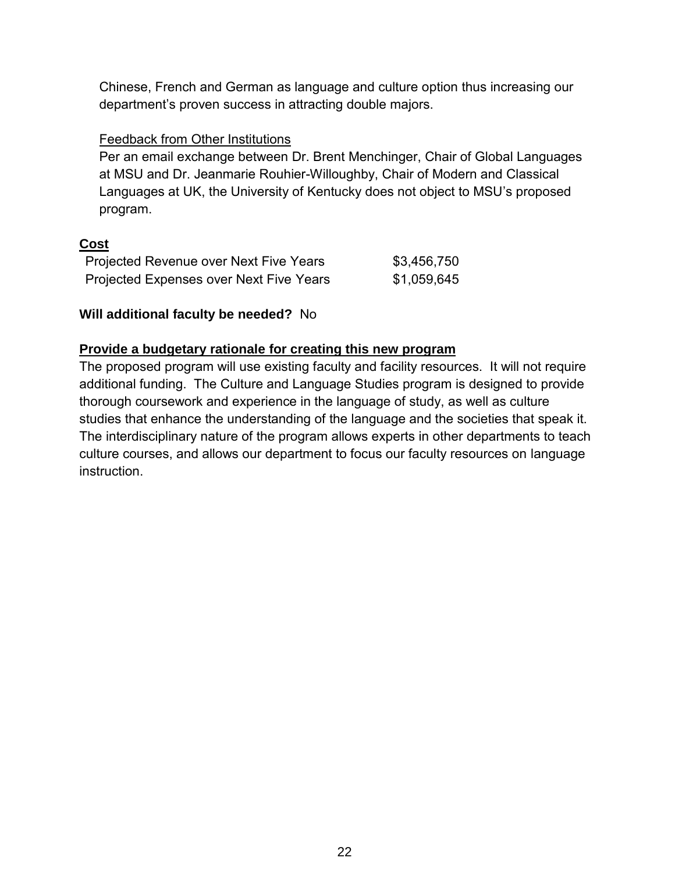Chinese, French and German as language and culture option thus increasing our department's proven success in attracting double majors.

## Feedback from Other Institutions

Per an email exchange between Dr. Brent Menchinger, Chair of Global Languages at MSU and Dr. Jeanmarie Rouhier-Willoughby, Chair of Modern and Classical Languages at UK, the University of Kentucky does not object to MSU's proposed program.

# **Cost**

| Projected Revenue over Next Five Years  | \$3,456,750 |
|-----------------------------------------|-------------|
| Projected Expenses over Next Five Years | \$1,059,645 |

# **Will additional faculty be needed?** No

# **Provide a budgetary rationale for creating this new program**

The proposed program will use existing faculty and facility resources. It will not require additional funding. The Culture and Language Studies program is designed to provide thorough coursework and experience in the language of study, as well as culture studies that enhance the understanding of the language and the societies that speak it. The interdisciplinary nature of the program allows experts in other departments to teach culture courses, and allows our department to focus our faculty resources on language instruction.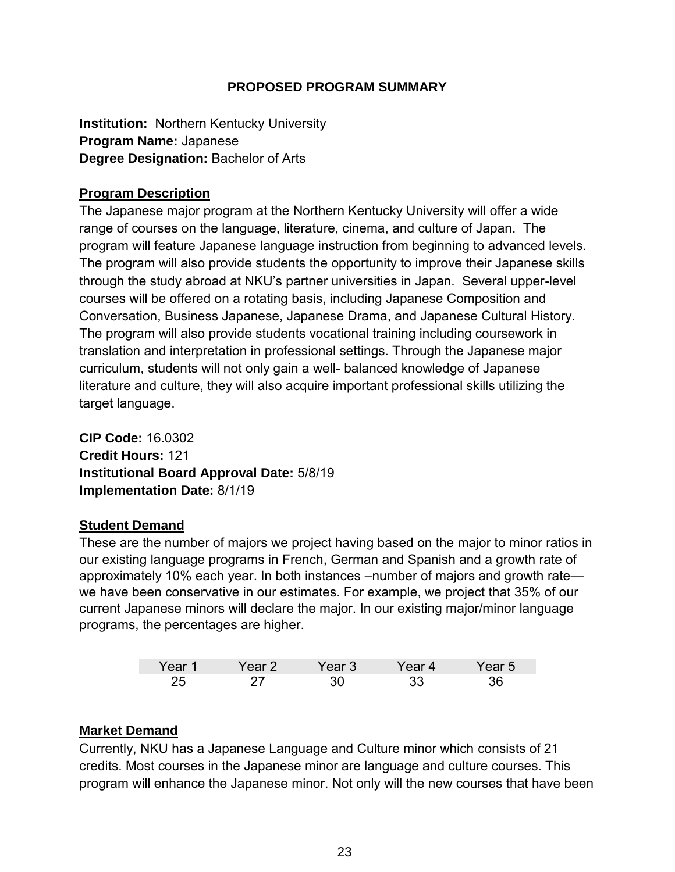**Institution:** Northern Kentucky University **Program Name:** Japanese **Degree Designation:** Bachelor of Arts

# **Program Description**

The Japanese major program at the Northern Kentucky University will offer a wide range of courses on the language, literature, cinema, and culture of Japan. The program will feature Japanese language instruction from beginning to advanced levels. The program will also provide students the opportunity to improve their Japanese skills through the study abroad at NKU's partner universities in Japan. Several upper-level courses will be offered on a rotating basis, including Japanese Composition and Conversation, Business Japanese, Japanese Drama, and Japanese Cultural History. The program will also provide students vocational training including coursework in translation and interpretation in professional settings. Through the Japanese major curriculum, students will not only gain a well- balanced knowledge of Japanese literature and culture, they will also acquire important professional skills utilizing the target language.

**CIP Code:** 16.0302 **Credit Hours:** 121 **Institutional Board Approval Date:** 5/8/19 **Implementation Date:** 8/1/19

# **Student Demand**

These are the number of majors we project having based on the major to minor ratios in our existing language programs in French, German and Spanish and a growth rate of approximately 10% each year. In both instances –number of majors and growth rate we have been conservative in our estimates. For example, we project that 35% of our current Japanese minors will declare the major. In our existing major/minor language programs, the percentages are higher.

| Year 1 | ∩ar 2 | Year 3 | 'ear 4 | Year 5 |
|--------|-------|--------|--------|--------|
| つに     |       |        |        |        |

# **Market Demand**

Currently, NKU has a Japanese Language and Culture minor which consists of 21 credits. Most courses in the Japanese minor are language and culture courses. This program will enhance the Japanese minor. Not only will the new courses that have been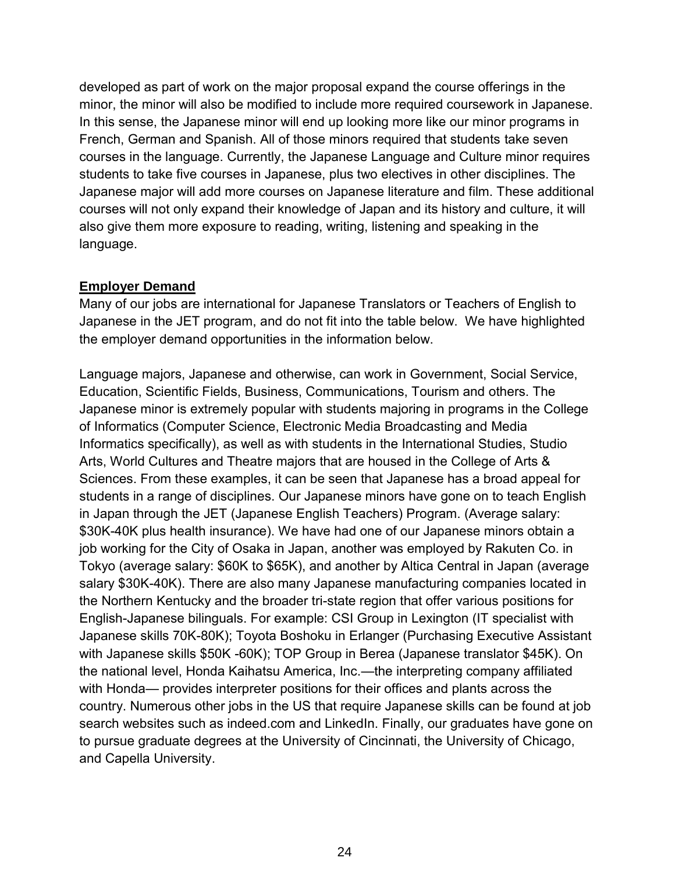developed as part of work on the major proposal expand the course offerings in the minor, the minor will also be modified to include more required coursework in Japanese. In this sense, the Japanese minor will end up looking more like our minor programs in French, German and Spanish. All of those minors required that students take seven courses in the language. Currently, the Japanese Language and Culture minor requires students to take five courses in Japanese, plus two electives in other disciplines. The Japanese major will add more courses on Japanese literature and film. These additional courses will not only expand their knowledge of Japan and its history and culture, it will also give them more exposure to reading, writing, listening and speaking in the language.

#### **Employer Demand**

Many of our jobs are international for Japanese Translators or Teachers of English to Japanese in the JET program, and do not fit into the table below. We have highlighted the employer demand opportunities in the information below.

Language majors, Japanese and otherwise, can work in Government, Social Service, Education, Scientific Fields, Business, Communications, Tourism and others. The Japanese minor is extremely popular with students majoring in programs in the College of Informatics (Computer Science, Electronic Media Broadcasting and Media Informatics specifically), as well as with students in the International Studies, Studio Arts, World Cultures and Theatre majors that are housed in the College of Arts & Sciences. From these examples, it can be seen that Japanese has a broad appeal for students in a range of disciplines. Our Japanese minors have gone on to teach English in Japan through the JET (Japanese English Teachers) Program. (Average salary: \$30K-40K plus health insurance). We have had one of our Japanese minors obtain a job working for the City of Osaka in Japan, another was employed by Rakuten Co. in Tokyo (average salary: \$60K to \$65K), and another by Altica Central in Japan (average salary \$30K-40K). There are also many Japanese manufacturing companies located in the Northern Kentucky and the broader tri-state region that offer various positions for English-Japanese bilinguals. For example: CSI Group in Lexington (IT specialist with Japanese skills 70K-80K); Toyota Boshoku in Erlanger (Purchasing Executive Assistant with Japanese skills \$50K -60K); TOP Group in Berea (Japanese translator \$45K). On the national level, Honda Kaihatsu America, Inc.—the interpreting company affiliated with Honda— provides interpreter positions for their offices and plants across the country. Numerous other jobs in the US that require Japanese skills can be found at job search websites such as indeed.com and LinkedIn. Finally, our graduates have gone on to pursue graduate degrees at the University of Cincinnati, the University of Chicago, and Capella University.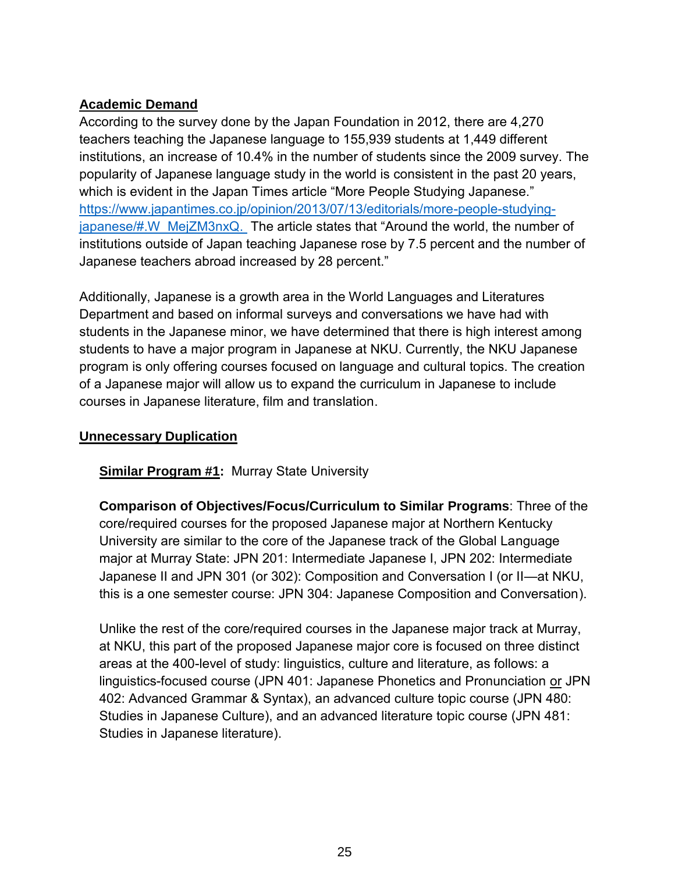# **Academic Demand**

According to the survey done by the Japan Foundation in 2012, there are 4,270 teachers teaching the Japanese language to 155,939 students at 1,449 different institutions, an increase of 10.4% in the number of students since the 2009 survey. The popularity of Japanese language study in the world is consistent in the past 20 years, which is evident in the Japan Times article "More People Studying Japanese." [https://www.japantimes.co.jp/opinion/2013/07/13/editorials/more-people-studying](https://www.japantimes.co.jp/opinion/2013/07/13/editorials/more-people-studying-japanese/#.W_MejZM3nxQ)[japanese/#.W\\_MejZM3nxQ.](https://www.japantimes.co.jp/opinion/2013/07/13/editorials/more-people-studying-japanese/#.W_MejZM3nxQ) The article states that "Around the world, the number of institutions outside of Japan teaching Japanese rose by 7.5 percent and the number of Japanese teachers abroad increased by 28 percent."

Additionally, Japanese is a growth area in the World Languages and Literatures Department and based on informal surveys and conversations we have had with students in the Japanese minor, we have determined that there is high interest among students to have a major program in Japanese at NKU. Currently, the NKU Japanese program is only offering courses focused on language and cultural topics. The creation of a Japanese major will allow us to expand the curriculum in Japanese to include courses in Japanese literature, film and translation.

### **Unnecessary Duplication**

### **Similar Program #1:** Murray State University

**Comparison of Objectives/Focus/Curriculum to Similar Programs**: Three of the core/required courses for the proposed Japanese major at Northern Kentucky University are similar to the core of the Japanese track of the Global Language major at Murray State: JPN 201: Intermediate Japanese I, JPN 202: Intermediate Japanese II and JPN 301 (or 302): Composition and Conversation I (or II—at NKU, this is a one semester course: JPN 304: Japanese Composition and Conversation).

Unlike the rest of the core/required courses in the Japanese major track at Murray, at NKU, this part of the proposed Japanese major core is focused on three distinct areas at the 400-level of study: linguistics, culture and literature, as follows: a linguistics-focused course (JPN 401: Japanese Phonetics and Pronunciation or JPN 402: Advanced Grammar & Syntax), an advanced culture topic course (JPN 480: Studies in Japanese Culture), and an advanced literature topic course (JPN 481: Studies in Japanese literature).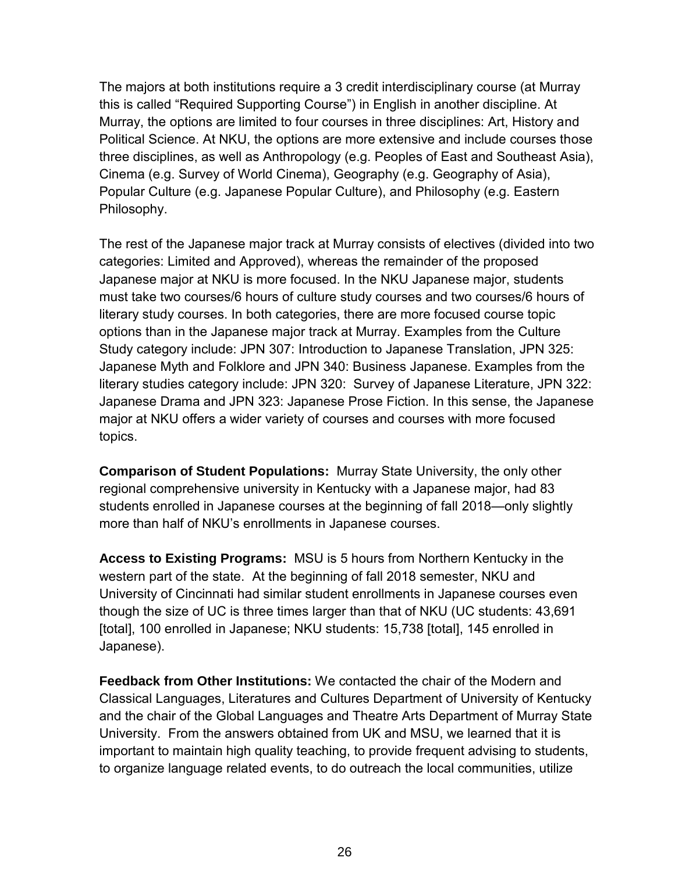The majors at both institutions require a 3 credit interdisciplinary course (at Murray this is called "Required Supporting Course") in English in another discipline. At Murray, the options are limited to four courses in three disciplines: Art, History and Political Science. At NKU, the options are more extensive and include courses those three disciplines, as well as Anthropology (e.g. Peoples of East and Southeast Asia), Cinema (e.g. Survey of World Cinema), Geography (e.g. Geography of Asia), Popular Culture (e.g. Japanese Popular Culture), and Philosophy (e.g. Eastern Philosophy.

The rest of the Japanese major track at Murray consists of electives (divided into two categories: Limited and Approved), whereas the remainder of the proposed Japanese major at NKU is more focused. In the NKU Japanese major, students must take two courses/6 hours of culture study courses and two courses/6 hours of literary study courses. In both categories, there are more focused course topic options than in the Japanese major track at Murray. Examples from the Culture Study category include: JPN 307: Introduction to Japanese Translation, JPN 325: Japanese Myth and Folklore and JPN 340: Business Japanese. Examples from the literary studies category include: JPN 320: Survey of Japanese Literature, JPN 322: Japanese Drama and JPN 323: Japanese Prose Fiction. In this sense, the Japanese major at NKU offers a wider variety of courses and courses with more focused topics.

**Comparison of Student Populations:** Murray State University, the only other regional comprehensive university in Kentucky with a Japanese major, had 83 students enrolled in Japanese courses at the beginning of fall 2018—only slightly more than half of NKU's enrollments in Japanese courses.

**Access to Existing Programs:** MSU is 5 hours from Northern Kentucky in the western part of the state. At the beginning of fall 2018 semester, NKU and University of Cincinnati had similar student enrollments in Japanese courses even though the size of UC is three times larger than that of NKU (UC students: 43,691 [total], 100 enrolled in Japanese; NKU students: 15,738 [total], 145 enrolled in Japanese).

**Feedback from Other Institutions:** We contacted the chair of the Modern and Classical Languages, Literatures and Cultures Department of University of Kentucky and the chair of the Global Languages and Theatre Arts Department of Murray State University. From the answers obtained from UK and MSU, we learned that it is important to maintain high quality teaching, to provide frequent advising to students, to organize language related events, to do outreach the local communities, utilize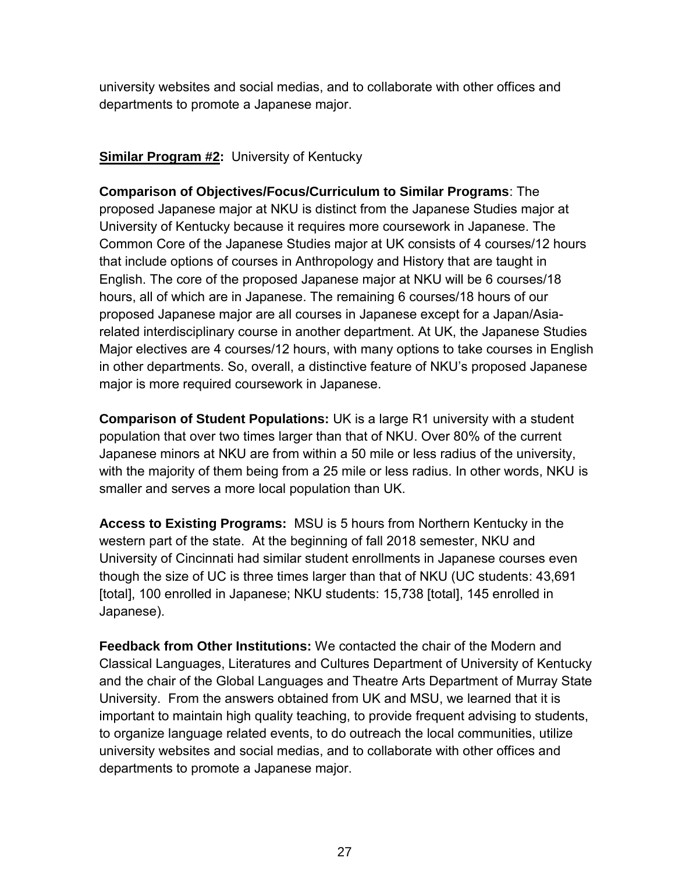university websites and social medias, and to collaborate with other offices and departments to promote a Japanese major.

# **Similar Program #2:** University of Kentucky

**Comparison of Objectives/Focus/Curriculum to Similar Programs**: The proposed Japanese major at NKU is distinct from the Japanese Studies major at University of Kentucky because it requires more coursework in Japanese. The Common Core of the Japanese Studies major at UK consists of 4 courses/12 hours that include options of courses in Anthropology and History that are taught in English. The core of the proposed Japanese major at NKU will be 6 courses/18 hours, all of which are in Japanese. The remaining 6 courses/18 hours of our proposed Japanese major are all courses in Japanese except for a Japan/Asiarelated interdisciplinary course in another department. At UK, the Japanese Studies Major electives are 4 courses/12 hours, with many options to take courses in English in other departments. So, overall, a distinctive feature of NKU's proposed Japanese major is more required coursework in Japanese.

**Comparison of Student Populations:** UK is a large R1 university with a student population that over two times larger than that of NKU. Over 80% of the current Japanese minors at NKU are from within a 50 mile or less radius of the university, with the majority of them being from a 25 mile or less radius. In other words, NKU is smaller and serves a more local population than UK.

**Access to Existing Programs:** MSU is 5 hours from Northern Kentucky in the western part of the state. At the beginning of fall 2018 semester, NKU and University of Cincinnati had similar student enrollments in Japanese courses even though the size of UC is three times larger than that of NKU (UC students: 43,691 [total], 100 enrolled in Japanese; NKU students: 15,738 [total], 145 enrolled in Japanese).

**Feedback from Other Institutions:** We contacted the chair of the Modern and Classical Languages, Literatures and Cultures Department of University of Kentucky and the chair of the Global Languages and Theatre Arts Department of Murray State University. From the answers obtained from UK and MSU, we learned that it is important to maintain high quality teaching, to provide frequent advising to students, to organize language related events, to do outreach the local communities, utilize university websites and social medias, and to collaborate with other offices and departments to promote a Japanese major.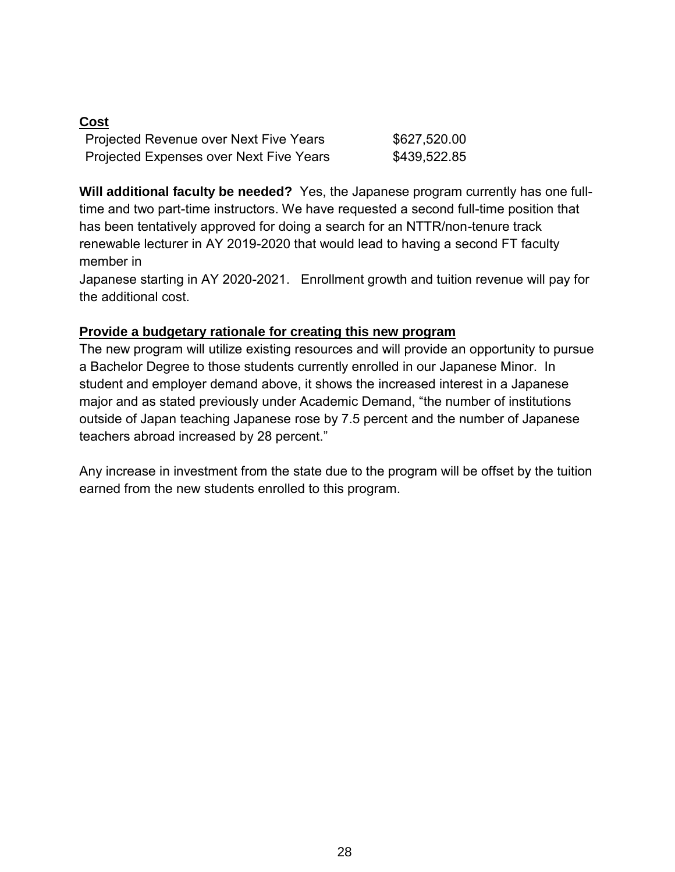# **Cost**

| Projected Revenue over Next Five Years  | \$627,520.00 |
|-----------------------------------------|--------------|
| Projected Expenses over Next Five Years | \$439,522.85 |

**Will additional faculty be needed?** Yes, the Japanese program currently has one fulltime and two part-time instructors. We have requested a second full-time position that has been tentatively approved for doing a search for an NTTR/non-tenure track renewable lecturer in AY 2019-2020 that would lead to having a second FT faculty member in

Japanese starting in AY 2020-2021. Enrollment growth and tuition revenue will pay for the additional cost.

### **Provide a budgetary rationale for creating this new program**

The new program will utilize existing resources and will provide an opportunity to pursue a Bachelor Degree to those students currently enrolled in our Japanese Minor. In student and employer demand above, it shows the increased interest in a Japanese major and as stated previously under Academic Demand, "the number of institutions outside of Japan teaching Japanese rose by 7.5 percent and the number of Japanese teachers abroad increased by 28 percent."

Any increase in investment from the state due to the program will be offset by the tuition earned from the new students enrolled to this program.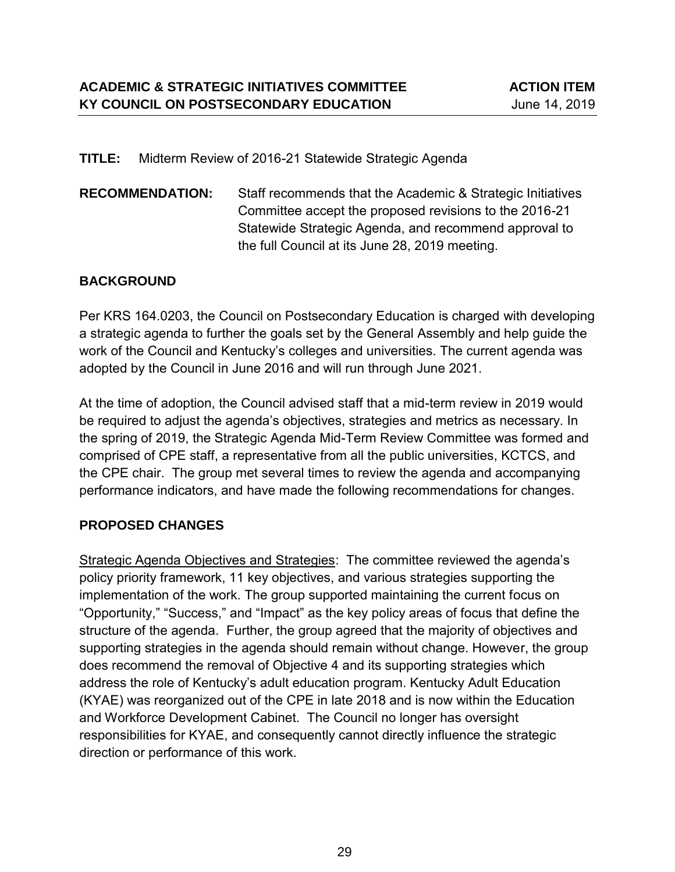#### **TITLE:** Midterm Review of 2016-21 Statewide Strategic Agenda

**RECOMMENDATION:** Staff recommends that the Academic & Strategic Initiatives Committee accept the proposed revisions to the 2016-21 Statewide Strategic Agenda, and recommend approval to the full Council at its June 28, 2019 meeting.

### **BACKGROUND**

Per KRS 164.0203, the Council on Postsecondary Education is charged with developing a strategic agenda to further the goals set by the General Assembly and help guide the work of the Council and Kentucky's colleges and universities. The current agenda was adopted by the Council in June 2016 and will run through June 2021.

At the time of adoption, the Council advised staff that a mid-term review in 2019 would be required to adjust the agenda's objectives, strategies and metrics as necessary. In the spring of 2019, the Strategic Agenda Mid-Term Review Committee was formed and comprised of CPE staff, a representative from all the public universities, KCTCS, and the CPE chair. The group met several times to review the agenda and accompanying performance indicators, and have made the following recommendations for changes.

### **PROPOSED CHANGES**

Strategic Agenda Objectives and Strategies: The committee reviewed the agenda's policy priority framework, 11 key objectives, and various strategies supporting the implementation of the work. The group supported maintaining the current focus on "Opportunity," "Success," and "Impact" as the key policy areas of focus that define the structure of the agenda. Further, the group agreed that the majority of objectives and supporting strategies in the agenda should remain without change. However, the group does recommend the removal of Objective 4 and its supporting strategies which address the role of Kentucky's adult education program. Kentucky Adult Education (KYAE) was reorganized out of the CPE in late 2018 and is now within the Education and Workforce Development Cabinet. The Council no longer has oversight responsibilities for KYAE, and consequently cannot directly influence the strategic direction or performance of this work.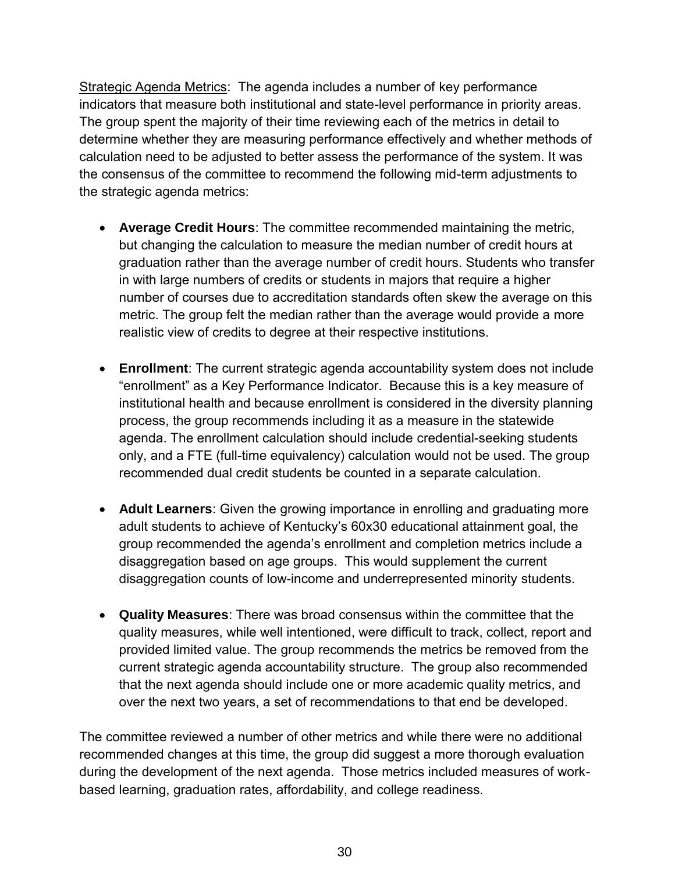Strategic Agenda Metrics: The agenda includes a number of key performance indicators that measure both institutional and state-level performance in priority areas. The group spent the majority of their time reviewing each of the metrics in detail to determine whether they are measuring performance effectively and whether methods of calculation need to be adjusted to better assess the performance of the system. It was the consensus of the committee to recommend the following mid-term adjustments to the strategic agenda metrics:

- **Average Credit Hours**: The committee recommended maintaining the metric, but changing the calculation to measure the median number of credit hours at graduation rather than the average number of credit hours. Students who transfer in with large numbers of credits or students in majors that require a higher number of courses due to accreditation standards often skew the average on this metric. The group felt the median rather than the average would provide a more realistic view of credits to degree at their respective institutions.
- **Enrollment**: The current strategic agenda accountability system does not include "enrollment" as a Key Performance Indicator. Because this is a key measure of institutional health and because enrollment is considered in the diversity planning process, the group recommends including it as a measure in the statewide agenda. The enrollment calculation should include credential-seeking students only, and a FTE (full-time equivalency) calculation would not be used. The group recommended dual credit students be counted in a separate calculation.
- **Adult Learners**: Given the growing importance in enrolling and graduating more adult students to achieve of Kentucky's 60x30 educational attainment goal, the group recommended the agenda's enrollment and completion metrics include a disaggregation based on age groups. This would supplement the current disaggregation counts of low-income and underrepresented minority students.
- **Quality Measures**: There was broad consensus within the committee that the quality measures, while well intentioned, were difficult to track, collect, report and provided limited value. The group recommends the metrics be removed from the current strategic agenda accountability structure. The group also recommended that the next agenda should include one or more academic quality metrics, and over the next two years, a set of recommendations to that end be developed.

The committee reviewed a number of other metrics and while there were no additional recommended changes at this time, the group did suggest a more thorough evaluation during the development of the next agenda. Those metrics included measures of workbased learning, graduation rates, affordability, and college readiness.